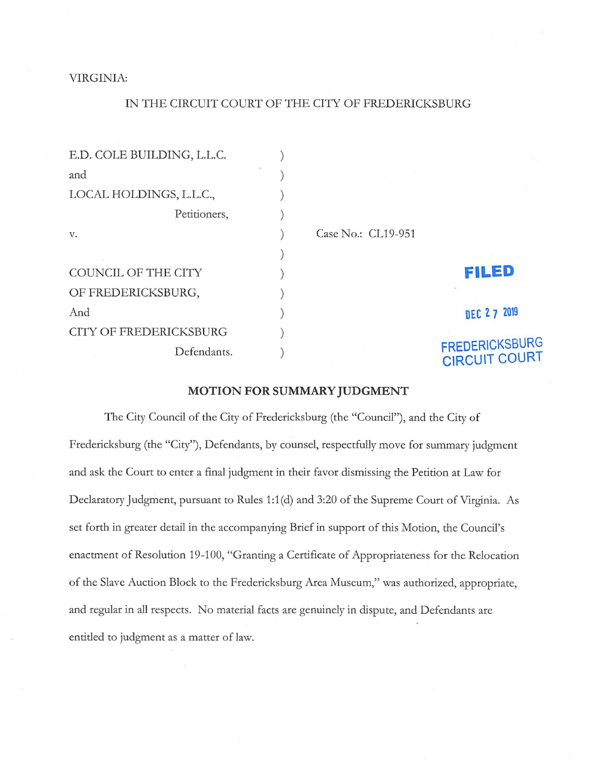## VIRGINIA:

## IN THE CIRCUIT COURT OF THE CITY OF FREDERICKSBURG

| E.D. COLE BUILDING, L.L.C.    |                    |                                               |
|-------------------------------|--------------------|-----------------------------------------------|
| and                           |                    |                                               |
| LOCAL HOLDINGS, L.L.C.,       |                    |                                               |
| Petitioners,                  |                    |                                               |
| V.                            | Case No.: CL19-951 |                                               |
|                               |                    |                                               |
| COUNCIL OF THE CITY           |                    | <b>FILED</b>                                  |
| OF FREDERICKSBURG,            |                    |                                               |
| And                           |                    | DEC 27 2019                                   |
| <b>CITY OF FREDERICKSBURG</b> |                    |                                               |
| Defendants.                   |                    | <b>FREDERICKSBURG</b><br><b>CIRCUIT COURT</b> |

## MOTION FOR SUMMARY JUDGMENT

The City Council of the City of Fredericksburg (the "Council"), and the City of Fredericksburg (the "City"), Defendants, by counsel, respectfully move for summary judgment and ask the Court to enter a final judgment in their favor dismissing the Petition at Law for Declaratory Judgment, pursuant to Rules 1:1(d) and 3:20 of the Supreme Court of Virginia. As set forth in greater detail in the accompanying Brief in support of this Motion, the Council's enactment of Resolution 19-100, "Granting a Certificate of Appropriateness for the Relocation of the Slave Auction Block to the Fredericksburg Area Museum," was authorized, appropriate, and regular in all respects. No material facts are genuinely in dispute, and Defendants are entitled to judgment as a matter of law.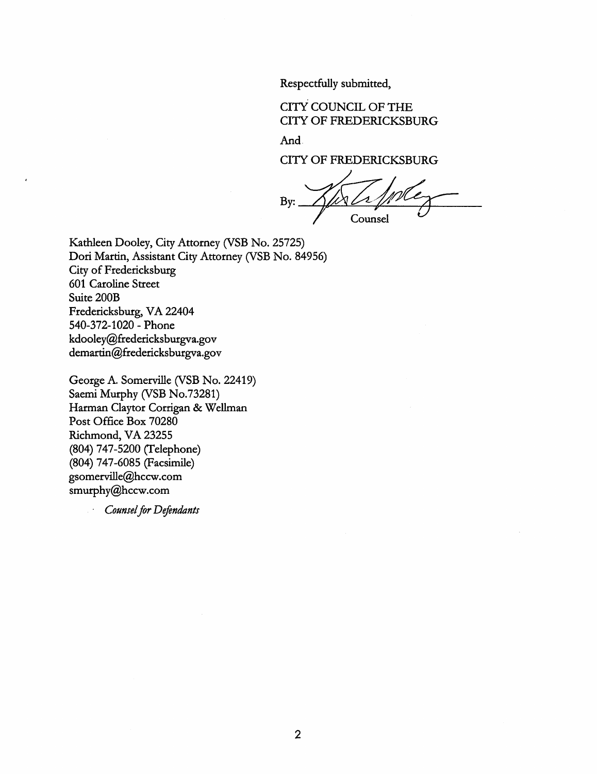Respectfully submitted,

CITY COUNCIL OF THE CITY OF FREDERICKSBURG

And

CITY OF FREDERICKSBURG

By: Counsel

Kathleen Dooley, City Attorney (VSB No. 25725) Dori Martin, Assistant City Attorney (VSB No. 84956) City of Fredericksburg 601 Caroline Street Suite 200B Fredericksburg, VA 22404 540-372-1020 - Phone kdooley@fredericksburgva.gov demartin@fredericksburgva.gov

George A. Somerville (VSB No. 22419) Saemi Murphy (VSB No.73281) Harman Claytor Corrigan & Wellman Post Office Box 70280 Richmond, VA 23255 (804) 747-5200 (Telephone) (804) 747-6085 (Facsimile) gsomerville@hccw.com smurphy@hccw.com

Counsel for Defendants